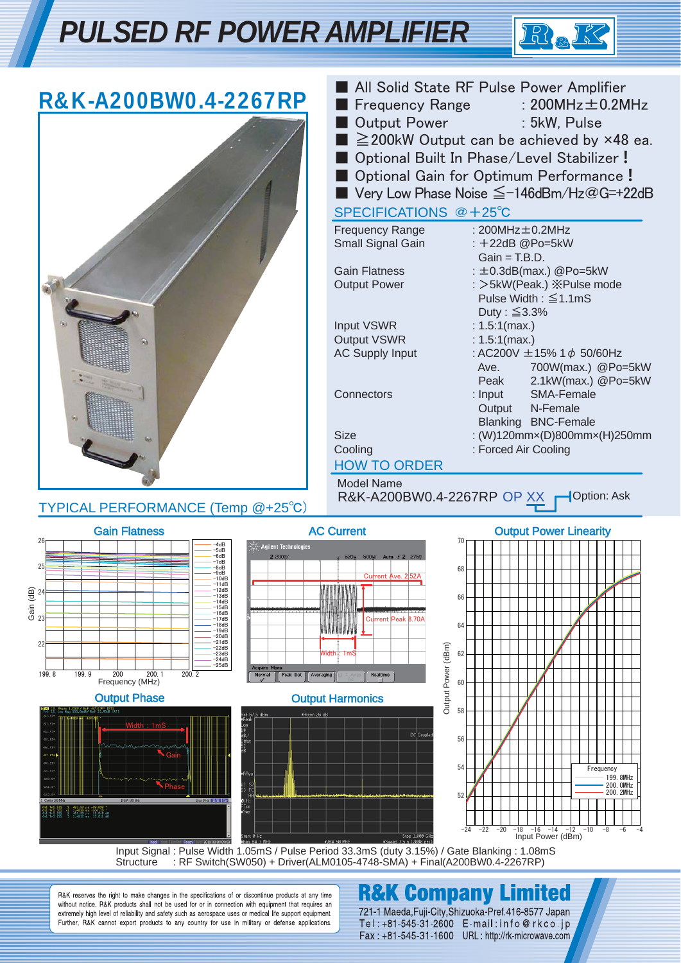## *PULSED RF POWER AMPLIFIER*



| R&K-A200BW0.4-2267RP<br>TYPICAL PERFORMANCE (Temp @+25°C)                                                                                                                                                                                                                                                                                                                                                                                                                                                                                                                                                       | <b>Frequency Range</b><br><b>Output Power</b><br>SPECIFICATIONS @ +25°C<br><b>Frequency Range</b><br>Small Signal Gain<br><b>Gain Flatness</b><br><b>Output Power</b><br>Input VSWR<br>Output VSWR<br><b>AC Supply Input</b><br>Connectors<br><b>Size</b><br>Cooling<br><b>HOW TO ORDER</b><br><b>Model Name</b><br>R&K-A200BW0.4-2267RP OP XX | All Solid State RF Pulse Power Amplifier<br>: $200$ MHz $\pm$ 0.2MHz<br>: 5kW, Pulse<br>$\geq$ 200kW Output can be achieved by x48 ea.<br>Optional Built In Phase/Level Stabilizer!<br>Optional Gain for Optimum Performance!<br>■ Very Low Phase Noise $\leq$ -146dBm/Hz@G=+22dB<br>: $200MHz \pm 0.2MHz$<br>: +22dB @Po=5kW<br>$Gain = T.B.D.$<br>: $\pm$ 0.3dB(max.) @Po=5kW<br>: >5kW(Peak.) ※Pulse mode<br>Pulse Width: $\leq$ 1.1mS<br>Duty: $\leq 3.3\%$<br>: $1.5:1(max.)$<br>: $1.5:1(max.)$<br>: AC200V $\pm$ 15% 1 $\phi$ 50/60Hz<br>700W(max.) @Po=5kW<br>Ave.<br>Peak<br>2.1kW(max.) @Po=5kW<br>$:$ Input<br>SMA-Female<br>N-Female<br>Output<br><b>Blanking BNC-Female</b><br>: (W)120mmx(D)800mmx(H)250mm<br>: Forced Air Cooling<br>Option: Ask |
|-----------------------------------------------------------------------------------------------------------------------------------------------------------------------------------------------------------------------------------------------------------------------------------------------------------------------------------------------------------------------------------------------------------------------------------------------------------------------------------------------------------------------------------------------------------------------------------------------------------------|------------------------------------------------------------------------------------------------------------------------------------------------------------------------------------------------------------------------------------------------------------------------------------------------------------------------------------------------|-----------------------------------------------------------------------------------------------------------------------------------------------------------------------------------------------------------------------------------------------------------------------------------------------------------------------------------------------------------------------------------------------------------------------------------------------------------------------------------------------------------------------------------------------------------------------------------------------------------------------------------------------------------------------------------------------------------------------------------------------------------------|
| <b>Gain Flatness</b><br>26<br>-4dB<br>$\mathbb{R}^2$ Agilent Technologies<br>$-5dB$<br>$-6dB$<br>2 200 <sub>V</sub> /<br>-7dB<br>25<br>$-8dB$<br>$-9dB$<br>$-10dB$<br>-11dB<br>-12dB<br>$-13dB$<br>$-14dB$<br>$-15dB$<br>$-16dB$<br>$-17dB$<br>-18dB<br>-19dB<br>$-20dB$<br>$-21dB$<br>22<br>$-22dB$<br>$-23dB$<br>$-24dB$<br>$-25dB$<br>Acquire Menu<br>199.9<br>199.8<br>200<br>200.1<br>200.2<br>Normal<br>Peak Det<br>Frequency (MHz)<br><b>Output Phase</b><br>21 Phase 1.000°/ Ref -97.53** [RT]<br>21 Lug Mag 100.0mdR/ Ref 22.50dB [RT]<br>Peal<br>Width: 1mS<br>09<br>95.53<br>Offst<br>6.53<br>67.634 | <b>AC Current</b><br>Current Ave. 252A<br>Current Peak 8.70A<br>WWWWW<br>Output Power (dBm)<br>/Width‡: 1mS<br>Realtime<br>Averaging<br><b>Output Harmonics</b><br>*Rtten 26 dB<br>DC Couple                                                                                                                                                   | <b>Output Power Linearity</b><br>70<br>68<br>66<br>64<br>62<br>60<br>58<br>56<br>54<br>Frequency<br>199. 8MHz<br>200. OMHz                                                                                                                                                                                                                                                                                                                                                                                                                                                                                                                                                                                                                                      |
| F(<br>IFBM 100 last<br>X(f);<br>Tun<br>Sир<br>N1 T71 331 - 1 - 182-53 pr - 19-098 :<br>N1 T72 331 - 2 - 14826 mr - 100-59 d<br>N1 T72 331 - 1 - 14826 pr - 22-511 d0<br>Input Signal: Pulse Width 1.05mS / Pulse Period 33.3mS (duty 3.15%) / Gate Blanking: 1.08mS<br>: RF Switch(SW050) + Driver(ALM0105-4748-SMA) + Final(A200BW0.4-2267RP)<br>Structure                                                                                                                                                                                                                                                     | Stop 1.000 GHz                                                                                                                                                                                                                                                                                                                                 | 200. 2MHz<br>52<br>$-20$<br>$-16 -14$<br>$-10$<br>$-22$<br>$-18$<br>$-12$<br>$-8$<br>-24<br>-6<br>Input Power (dBm)                                                                                                                                                                                                                                                                                                                                                                                                                                                                                                                                                                                                                                             |

R&K reserves the right to make changes in the specifications of or discontinue products at any time without notice. R&K products shall not be used for or in connection with equipment that requires an extremely high level of reliability and safety such as aerospace uses or medical life support equipment.<br>Further, R&K cannot export products to any country for use in military or defense applications.

### **R&K Company Limited**

721-1 Maeda, Fuji-City, Shizuoka-Pref. 416-8577 Japan Tel: +81-545-31-2600 E-mail:info@rkco.jp Fax: +81-545-31-1600 URL: http://rk-microwave.com